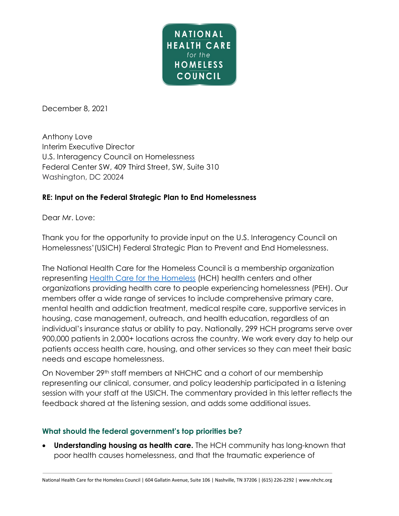

December 8, 2021

Anthony Love Interim Executive Director U.S. Interagency Council on Homelessness Federal Center SW, 409 Third Street, SW, Suite 310 Washington, DC 20024

## **RE: Input on the Federal Strategic Plan to End Homelessness**

Dear Mr. Love:

Thank you for the opportunity to provide input on the U.S. Interagency Council on Homelessness'(USICH) Federal Strategic Plan to Prevent and End Homelessness.

The National Health Care for the Homeless Council is a membership organization representing [Health Care for the Homeless](https://nhchc.org/wp-content/uploads/2021/04/HCH-Fact-Sheet_2021.pdf) (HCH) health centers and other organizations providing health care to people experiencing homelessness (PEH). Our members offer a wide range of services to include comprehensive primary care, mental health and addiction treatment, medical respite care, supportive services in housing, case management, outreach, and health education, regardless of an individual's insurance status or ability to pay. Nationally, 299 HCH programs serve over 900,000 patients in 2,000+ locations across the country. We work every day to help our patients access health care, housing, and other services so they can meet their basic needs and escape homelessness.

On November 29<sup>th</sup> staff members at NHCHC and a cohort of our membership representing our clinical, consumer, and policy leadership participated in a listening session with your staff at the USICH. The commentary provided in this letter reflects the feedback shared at the listening session, and adds some additional issues.

#### **What should the federal government's top priorities be?**

• **Understanding housing as health care.** The HCH community has long-known that poor health causes homelessness, and that the traumatic experience of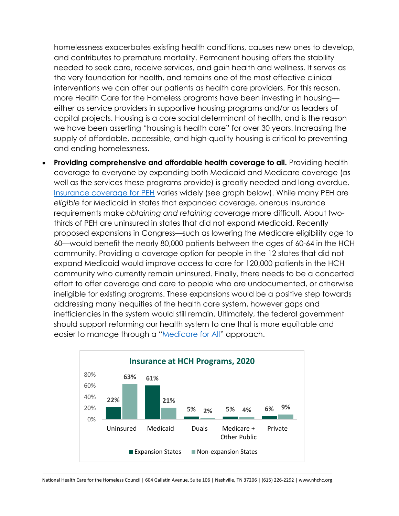homelessness exacerbates existing health conditions, causes new ones to develop, and contributes to premature mortality. Permanent housing offers the stability needed to seek care, receive services, and gain health and wellness. It serves as the very foundation for health, and remains one of the most effective clinical interventions we can offer our patients as health care providers. For this reason, more Health Care for the Homeless programs have been investing in housing either as service providers in supportive housing programs and/or as leaders of capital projects. Housing is a core social determinant of health, and is the reason we have been asserting "housing is health care" for over 30 years. Increasing the supply of affordable, accessible, and high-quality housing is critical to preventing and ending homelessness.

**Providing comprehensive and affordable health coverage to all.** Providing health coverage to everyone by expanding both Medicaid and Medicare coverage (as well as the services these programs provide) is greatly needed and long-overdue. [Insurance coverage for PEH](https://nhchc.org/wp-content/uploads/2021/10/HCH-Insurance-Issue-Brief_2020.pdf) varies widely (see graph below). While many PEH are *eligible* for Medicaid in states that expanded coverage, onerous insurance requirements make *obtaining and retaining* coverage more difficult. About twothirds of PEH are uninsured in states that did not expand Medicaid. Recently proposed expansions in Congress—such as lowering the Medicare eligibility age to 60—would benefit the nearly 80,000 patients between the ages of 60-64 in the HCH community. Providing a coverage option for people in the 12 states that did not expand Medicaid would improve access to care for 120,000 patients in the HCH community who currently remain uninsured. Finally, there needs to be a concerted effort to offer coverage and care to people who are undocumented, or otherwise ineligible for existing programs. These expansions would be a positive step towards addressing many inequities of the health care system, however gaps and inefficiencies in the system would still remain. Ultimately, the federal government should support reforming our health system to one that is more equitable and easier to manage through a ["Medicare for All"](https://nhchc.org/wp-content/uploads/2019/08/medicare-for-all-and-the-hch-community.pdf) approach.

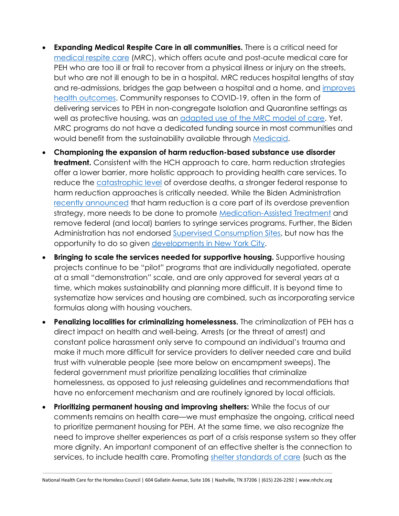- **Expanding Medical Respite Care in all communities.** There is a critical need for [medical respite care](https://nimrc.org/wp-content/uploads/2021/09/Defining-Characteristics-of-MRC2.pdf) (MRC), which offers acute and post-acute medical care for PEH who are too ill or frail to recover from a physical illness or injury on the streets, but who are not ill enough to be in a hospital. MRC reduces hospital lengths of stay and re-admissions, bridges the gap between a hospital and a home, and [improves](https://nimrc.org/wp-content/uploads/2021/08/NIMRC_Medical-Respite-Literature-Review.pdf)  [health outcomes.](https://nimrc.org/wp-content/uploads/2021/08/NIMRC_Medical-Respite-Literature-Review.pdf) Community responses to COVID-19, often in the form of delivering services to PEH in non-congregate Isolation and Quarantine settings as well as protective housing, was an [adapted use of the MRC model of care.](https://nhchc.org/wp-content/uploads/2020/05/Issue-brief-5-COVID-19-Medical-Respite-Care.pdf) Yet, MRC programs do not have a dedicated funding source in most communities and would benefit from the sustainability available through [Medicaid.](https://nimrc.org/wp-content/uploads/2021/01/Medicaid-Medicaid-Managed-Care-Financing-Approaches-for-Medical-Respite-Care-Whitepaper.pdf)
- **Championing the expansion of harm reduction-based substance use disorder treatment.** Consistent with the HCH approach to care, harm reduction strategies offer a lower barrier, more holistic approach to providing health care services. To reduce the [catastrophic level](https://www.cdc.gov/nchs/pressroom/nchs_press_releases/2021/20211117.htm) of overdose deaths, a stronger federal response to harm reduction approaches is critically needed. While the Biden Administration [recently announced](https://www.hhs.gov/about/news/2021/10/27/hhs-secretary-becerra-announces-new-overdose-prevention-strategy.html) that harm reduction is a core part of its overdose prevention strategy, more needs to be done to promote [Medication-Assisted Treatment](https://nhchc.org/wp-content/uploads/2021/12/MAT-at-HCH-Programs-2020.pdf) and remove federal (and local) barriers to syringe services programs. Further, the Biden Administration has not endorsed Supervised [Consumption Sites,](https://drugpolicy.org/issues/supervised-consumption-services) but now has the opportunity to do so given [developments in New York](https://www.npr.org/2021/11/30/1054921116/illegal-drug-injection-sites-nyc) City.
- **Bringing to scale the services needed for supportive housing.** Supportive housing projects continue to be "pilot" programs that are individually negotiated, operate at a small "demonstration" scale, and are only approved for several years at a time, which makes sustainability and planning more difficult. It is beyond time to systematize how services and housing are combined, such as incorporating service formulas along with housing vouchers.
- **Penalizing localities for criminalizing homelessness.** The criminalization of PEH has a direct impact on health and well-being. Arrests (or the threat of arrest) and constant police harassment only serve to compound an individual's trauma and make it much more difficult for service providers to deliver needed care and build trust with vulnerable people (see more below on encampment sweeps). The federal government must prioritize penalizing localities that criminalize homelessness, as opposed to just releasing guidelines and recommendations that have no enforcement mechanism and are routinely ignored by local officials.
- **Prioritizing permanent housing and improving shelters:** While the focus of our comments remains on health care—we must emphasize the ongoing, critical need to prioritize permanent housing for PEH. At the same time, we also recognize the need to improve shelter experiences as part of a crisis response system so they offer more dignity. An important component of an effective shelter is the connection to services, to include health care. Promoting [shelter standards of care](https://nhchc.org/wp-content/uploads/2021/11/Chicago-Shelter-Standards-Sept2020.pdf) (such as the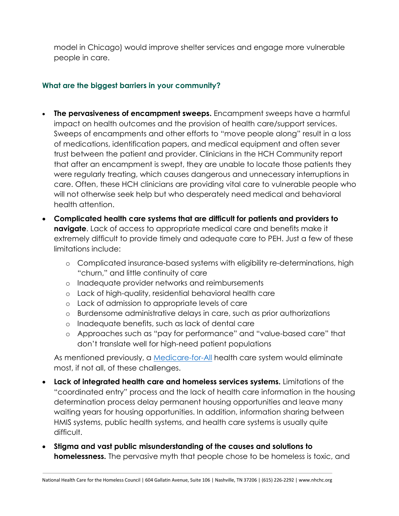model in Chicago) would improve shelter services and engage more vulnerable people in care.

# **What are the biggest barriers in your community?**

- **The pervasiveness of encampment sweeps.** Encampment sweeps have a harmful impact on health outcomes and the provision of health care/support services. Sweeps of encampments and other efforts to "move people along" result in a loss of medications, identification papers, and medical equipment and often sever trust between the patient and provider. Clinicians in the HCH Community report that after an encampment is swept, they are unable to locate those patients they were regularly treating, which causes dangerous and unnecessary interruptions in care. Often, these HCH clinicians are providing vital care to vulnerable people who will not otherwise seek help but who desperately need medical and behavioral health attention.
- **Complicated health care systems that are difficult for patients and providers to navigate**. Lack of access to appropriate medical care and benefits make it extremely difficult to provide timely and adequate care to PEH. Just a few of these limitations include:
	- o Complicated insurance-based systems with eligibility re-determinations, high "churn," and little continuity of care
	- o Inadequate provider networks and reimbursements
	- o Lack of high-quality, residential behavioral health care
	- o Lack of admission to appropriate levels of care
	- o Burdensome administrative delays in care, such as prior authorizations
	- o Inadequate benefits, such as lack of dental care
	- o Approaches such as "pay for performance" and "value-based care" that don't translate well for high-need patient populations

As mentioned previously, a *Medicare-for-All* health care system would eliminate most, if not all, of these challenges.

- **Lack of integrated health care and homeless services systems.** Limitations of the "coordinated entry" process and the lack of health care information in the housing determination process delay permanent housing opportunities and leave many waiting years for housing opportunities. In addition, information sharing between HMIS systems, public health systems, and health care systems is usually quite difficult.
- **Stigma and vast public misunderstanding of the causes and solutions to homelessness.** The pervasive myth that people chose to be homeless is toxic, and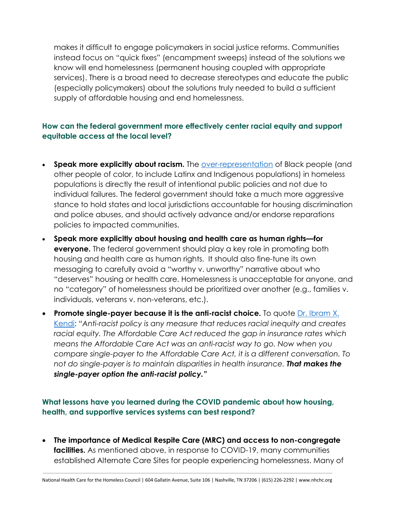makes it difficult to engage policymakers in social justice reforms. Communities instead focus on "quick fixes" (encampment sweeps) instead of the solutions we know will end homelessness (permanent housing coupled with appropriate services). There is a broad need to decrease stereotypes and educate the public (especially policymakers) about the solutions truly needed to build a sufficient supply of affordable housing and end homelessness.

# **How can the federal government more effectively center racial equity and support equitable access at the local level?**

- **Speak more explicitly about racism.** The [over-representation](https://nhchc.org/wp-content/uploads/2019/08/health-homelessness-and-racial-disparities.pdf) of Black people (and other people of color, to include Latinx and Indigenous populations) in homeless populations is directly the result of intentional public policies and not due to individual failures. The federal government should take a much more aggressive stance to hold states and local jurisdictions accountable for housing discrimination and police abuses, and should actively advance and/or endorse reparations policies to impacted communities.
- **Speak more explicitly about housing and health care as human rights—for everyone.** The federal government should play a key role in promoting both housing and health care as human rights. It should also fine-tune its own messaging to carefully avoid a "worthy v. unworthy" narrative about who "deserves" housing or health care. Homelessness is unacceptable for anyone, and no "category" of homelessness should be prioritized over another (e.g., families v. individuals, veterans v. non-veterans, etc.).
- **Promote single-payer because it is the anti-racist choice.** To quote [Dr. Ibram X.](https://t.e2ma.net/webview/2ux4d5b/ccd117c20716da94a78771c022560528)  [Kendi:](https://t.e2ma.net/webview/2ux4d5b/ccd117c20716da94a78771c022560528) *"Anti-racist policy is any measure that reduces racial inequity and creates racial equity. The Affordable Care Act reduced the gap in insurance rates which means the Affordable Care Act was an anti-racist way to go. Now when you compare single-payer to the Affordable Care Act, it is a different conversation. To not do single-payer is to maintain disparities in health insurance. That makes the single-payer option the anti-racist policy."*

# **What lessons have you learned during the COVID pandemic about how housing, health, and supportive services systems can best respond?**

• **The importance of Medical Respite Care (MRC) and access to non-congregate facilities.** As mentioned above, in response to COVID-19, many communities established Alternate Care Sites for people experiencing homelessness. Many of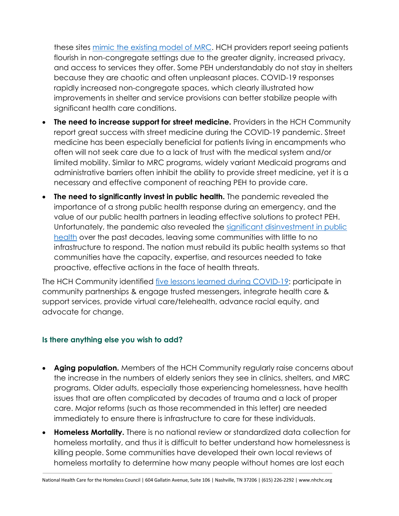these sites [mimic the existing model of MRC.](https://nhchc.org/wp-content/uploads/2020/05/Issue-brief-5-COVID-19-Medical-Respite-Care.pdf) HCH providers report seeing patients flourish in non-congregate settings due to the greater dignity, increased privacy, and access to services they offer. Some PEH understandably do not stay in shelters because they are chaotic and often unpleasant places. COVID-19 responses rapidly increased non-congregate spaces, which clearly illustrated how improvements in shelter and service provisions can better stabilize people with significant health care conditions.

- **The need to increase support for street medicine.** Providers in the HCH Community report great success with street medicine during the COVID-19 pandemic. Street medicine has been especially beneficial for patients living in encampments who often will not seek care due to a lack of trust with the medical system and/or limited mobility. Similar to MRC programs, widely variant Medicaid programs and administrative barriers often inhibit the ability to provide street medicine, yet it is a necessary and effective component of reaching PEH to provide care.
- **The need to significantly invest in public health.** The pandemic revealed the importance of a strong public health response during an emergency, and the value of our public health partners in leading effective solutions to protect PEH. Unfortunately, the pandemic also revealed the significant [disinvestment in public](https://khn.org/news/us-public-health-system-underfunded-under-threat-faces-more-cuts-amid-covid-pandemic/)  [health](https://khn.org/news/us-public-health-system-underfunded-under-threat-faces-more-cuts-amid-covid-pandemic/) over the past decades, leaving some communities with little to no infrastructure to respond. The nation must rebuild its public health systems so that communities have the capacity, expertise, and resources needed to take proactive, effective actions in the face of health threats.

The HCH Community identified [five lessons learned during COVID-19:](https://nhchc.org/wp-content/uploads/2021/09/Issue-Brief-13-C19-Lessons-Learned.pdf) participate in community partnerships & engage trusted messengers, integrate health care & support services, provide virtual care/telehealth, advance racial equity, and advocate for change.

## **Is there anything else you wish to add?**

- **Aging population.** Members of the HCH Community regularly raise concerns about the increase in the numbers of elderly seniors they see in clinics, shelters, and MRC programs. Older adults, especially those experiencing homelessness, have health issues that are often complicated by decades of trauma and a lack of proper care. Major reforms (such as those recommended in this letter) are needed immediately to ensure there is infrastructure to care for these individuals.
- **Homeless Mortality.** There is no national review or standardized data collection for homeless mortality, and thus it is difficult to better understand how homelessness is killing people. Some communities have developed their own local reviews of homeless mortality to determine how many people without homes are lost each